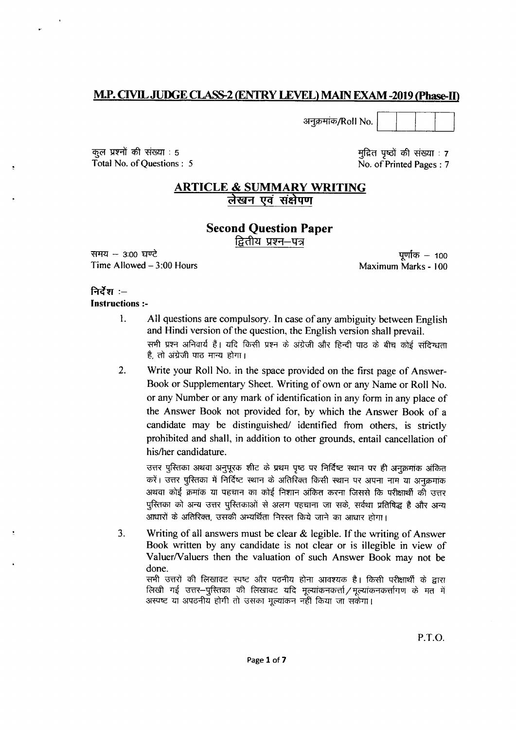# **M.P. CIVIL JUDGE CLASS-2 (ENTRY LEVEL) MAIN EXAM -2019 (Phase-II)**

अनुक्रमांक/Roll No.

कुल प्रश्नों की संख्या : 5 Total No. of Questions : 5

मुद्रित पृष्ठों की संख्या : 7 No. of Printed Pages: 7

# **ARTICLE & SUMMARY WRITING** लेखन एवं संक्षेपण

# **Second Question Paper**

द्वितीय प्रश्न—पत्र

समय  $-$  3:00 घण्टे Time Allowed  $-3:00$  Hours

पूर्णांक – 100 Maximum Marks - 100

## निर्देश $:=$

### **Instructions:-**

- 1. All questions are compulsory. In case of any ambiguity between English and Hindi version of the question, the English version shall prevail. सभी प्रश्न अनिवार्य हैं। यदि किसी प्रश्न के अंग्रेजी और हिन्दी पाठ के बीच कोई संदिग्धता है. तो अंग्रेजी पाठ मान्य होगा।
- $2.$ Write your Roll No. in the space provided on the first page of Answer-Book or Supplementary Sheet. Writing of own or any Name or Roll No. or any Number or any mark of identification in any form in any place of the Answer Book not provided for, by which the Answer Book of a candidate may be distinguished/ identified from others, is strictly prohibited and shall, in addition to other grounds, entail cancellation of his/her candidature.

उत्तर पुस्तिका अथवा अनुपूरक शीट के प्रथम पृष्ठ पर निर्दिष्ट स्थान पर ही अनुक्रमांक अंकित करें। उत्तर पुस्तिका में निर्दिष्ट स्थान के अतिरिक्त किसी स्थान पर अपना नाम या अनुक्रमांक अथवा कोई क्रमांक या पहचान का कोई निशान अंकित करना जिससे कि परीक्षार्थी की उत्तर पुरितका को अन्य उत्तर पुरितकाओं से अलग पहचाना जा सके, सर्वथा प्रतिषिद्ध है और अन्य आधारों के अतिरिक्त, उसकी अभ्यर्थिता निरस्त किये जाने का आधार होगा।

 $3.$ Writing of all answers must be clear  $\&$  legible. If the writing of Answer Book written by any candidate is not clear or is illegible in view of Valuer/Valuers then the valuation of such Answer Book may not be done.

सभी उत्तरों की लिखावट स्पष्ट और पठनीय होना आवश्यक है। किसी परीक्षार्थी के द्वारा लिखी गई उत्तर-पुस्तिका की लिखावट यदि मूल्यांकनकर्त्ता/मूल्यांकनकर्त्तागण के मत में अस्पष्ट या अपठनीय होगी तो उसका मूल्यांकन नहीं किया जा सकेगा।

P.T.O.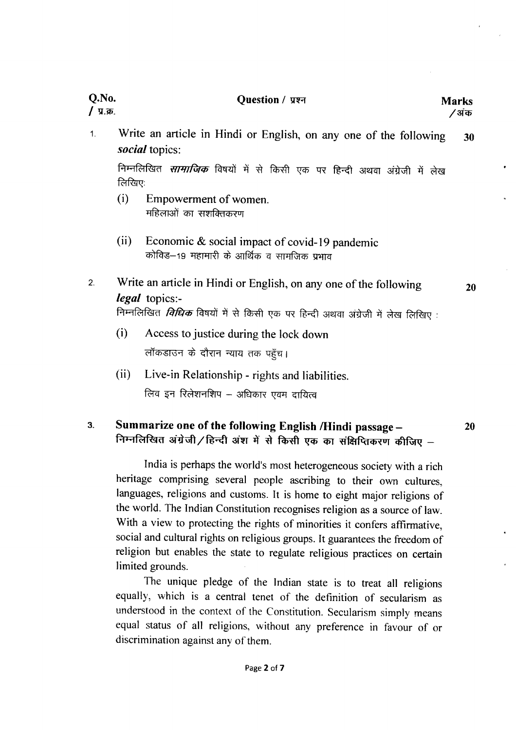# Question / प्रश्न विकास करते हैं। अपने अधिकारित अपने अधिकार अधिकार अधिकार अधिकार अधिकार अधिकार अधिकार अधिकार अ

# Q.No.<br>/ प्र.क्र.

Write an article in Hindi or English, on any one of the following  $\overline{1}$ . 30 social topics:

निम्नलिखित *सामाजिक* विषयों में से किसी एक पर हिन्दी अथवा अंग्रेजी में लेख लिखिए:

- (i) Empowerment of women.<br>महिलाओं का सशक्तिकरण
- (ii) Economic & social impact of covid-19 pandemic कोविड—19 महामारी के आर्थिक व सामजिक प्रभाव
- Write an article in Hindi or English, on any one of the following  $\overline{2}$ .  $\textit{legal}$  topics:-निम्नलिखित *विधिक* विषयों में से किसी एक पर हिन्दी अथवा अंग्रेजी में लेख लिखिए :

20

20

- (i) Access tojustice during the lock down लॉकडाउन के दौरान न्याय तक पहुँच।
- (ii) Live-in Relationship rights and liabilities. लिव इन रिलेशनशिप – अधिकार एवम दायित्व

### 3. Summarize one of the following English /Hindi passage -निम्नलिखित अंग्रेजी/हिन्दी अंश में से किसी एक का संक्षिप्तिकरण कीजिए -

India is perhaps the world's most heterogeneous society with a rich heritage comprising several people ascribing to their own cultures, languages, religions and customs. It is home to eight major religions of the world. The Indian Constitution recognises religion as a source of law. With a view to protecting the rights of minorities it confers affirmative, social and cultural rights on religious groups. It guarantees the freedom of religion but enables the state to regulate religious practices on certain limited grounds.

The unique pledge of the Indian state is to treat all religions equally, which is a central tenet of the definition of secularism as understood in the context of the Constitution. Secularism simply means equal status of all religions, without any preference in favour of or discrimination against any of them.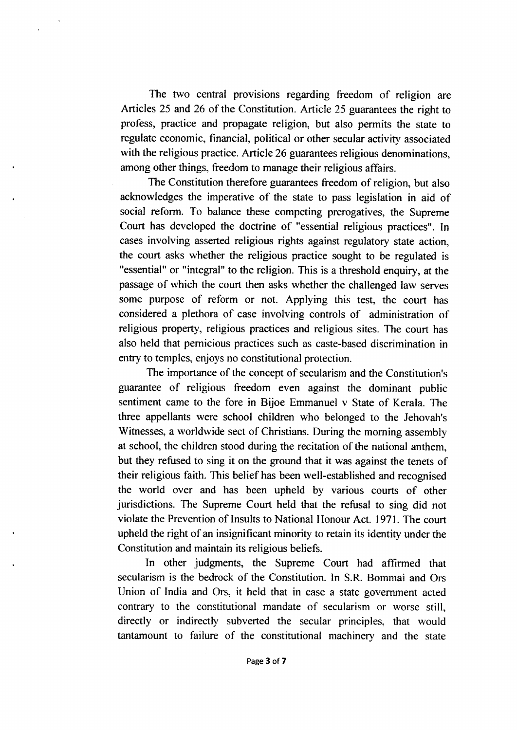The two central provisions regarding freedom of religion are Articles 25 and 26 of the Constitution. Article 25 guarantees the right to profess, practice and propagate religion, but also permits the state to regulate economic, financial, political or other secular activity associated with the religious practice. Article 26 guarantees religious denominations, among other things, freedom to manage their religious affairs.

The Constitution therefore guarantees freedom of religion, but also acknowledges the imperative of the state to pass legislation in aid of social reform. To balance these competing prerogatives, the Supreme Court has developed the doctrine of "essential religious practices". In cases involving asserted religious rights against regulatory state action, the court asks whether the religious practice sought to be regulated is "essential" or "integral" to the religion. This is a threshold enquiry, at the passage of which the court then asks whether the challenged law serves some purpose of reform or not. Applying this test, the court has considered a plethora of case involving controls of administration of religious property, religious practices and religious sites. The court has also held that pernicious practices such as caste-based discrimination in entry to temples, enjoys no constitutional protection.

The importance of the concept of secularism and the Constitution's guarantee of religious freedom even against the dominant public sentiment came to the fore in Bijoe Emmanuel v State of Kerala. The three appellants were school children who belonged to the Jehovah's Witnesses, a worldwide sect of Christians. During the moming assembly at school, the children stood during the recitation of the national anthem, but they refused to sing it on the ground that it was against the tenets of their religious faith. This belief has been well-established and recogrised the world over and has been upheld by various courts of other jurisdictions. The Supreme Court held that the refusal to sing did not violate the Prevention of Insults to National Honour Act. 1971. The court upheld the right of an insignificant minority to retain its identity under the Constitution and maintain its religious beliefs.

In other judgments, the Supreme Court had affirmed that secularism is the bedrock of the Constitution. In S.R. Bommai and Ors Union of India and Ors, it held that in case a state government acted contrary to the constitutional mandate of secularism or worse still, directly or indirectly subverted the secular principles, that would tantamount to failure of the constitutional machinery and the state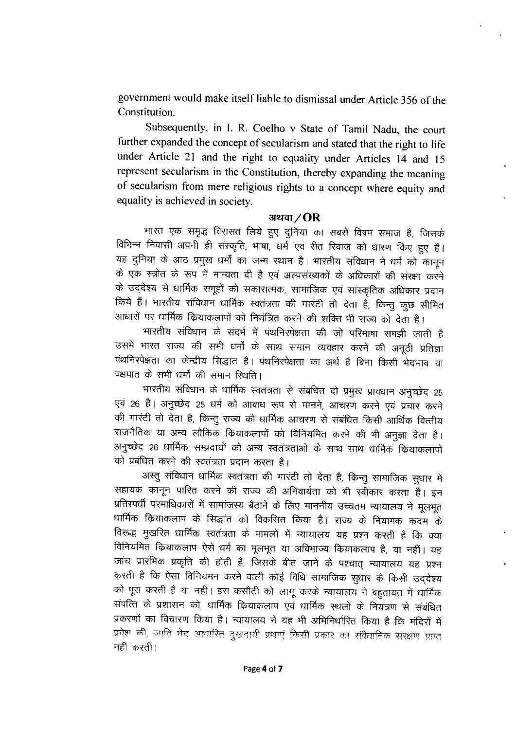government would make itself liable to dismissal under Article 356 of the Constitution.

Subsequently, in I. R. Coelho v State of Tamil Nadu, the court further expanded the concept of secularism and stated that the right to life under Article 21 and the right to equality under Articles 14 and 15 represent secularism in the Constitution, thereby expanding the meaning of secularism from mere religious rights to a concept where equity and equality is achieved in society.

# अथवा $/OR$

भारत एक समृद्ध विरासत लिये हुए दुनिया का सबसे विषम समाज है, जिसके विभिन्न निवासी अपनी ही संस्कृति, भाषा, धर्म एवं रीत रिवाज को धारण किए हुए हैं। यह दुनिया के आठ प्रमुख धर्मों का जन्म स्थान है। भारतीय संविधान ने धर्म को कानून के एक स्त्रोत के रूप में मान्यता दी है एवं अल्पसंख्यकों के अधिकारों की संरक्षा करने के उद्देश्य से धार्मिक समूहों को सकारात्मक, सामाजिक एवं सांस्कृतिक अधिकार प्रदान किये हैं। भारतीय संविधान धार्मिक स्वतंत्रता की गारंटी तो देता है, किन्तु कुछ सीमित आधारों पर धार्मिक कियाकलापों को नियंत्रित करने की शक्ति भी राज्य को देता है।

भारतीय संविधान के संदर्भ में पंथनिरपेक्षता की जो परिभाषा समझी जाती है उसमें भारत राज्य की सभी धर्मों के साथ समान व्यवहार करने की अनूठी प्रतिज्ञा पंथनिरपेक्षता का केन्द्रीय सिद्धांत है। पंथनिरपेक्षता का अर्थ है बिना किसी भेदभाव या पक्षपात के सभी धर्मों की समान स्थिति।

भारतीय संविधान के धार्मिक स्वतंत्रता से संबंधित दो प्रमुख प्रावधान अनुच्छेद 25 एवं 26 हैं। अनुच्छेद 25 धर्म को आबाध रूप से मानने, आचरण करने एवं प्रचार करने की गारंटी तो देता है, किन्तु राज्य को धार्मिक आचरण से संबंधित किसी आर्थिक वित्तीय राजनैतिक या अन्य लौकिक कियाकलापों को विनियमित करने की भी अनुज्ञा देता है। अनुच्छेद 26 धार्मिक सम्प्रदायों को अन्य स्वतंत्रताओं के साथ साथ धार्मिक कियाकलापों को प्रबंधित करने की स्वतंत्रता प्रदान करता है।

अस्तु संविधान धार्मिक स्वतंत्रता की गारंटी तो देता है, किन्तु सामाजिक सुधार में सहायक कानून पारित करने की राज्य की अनिवार्यता को भी स्वीकार करता है। इन प्रतिस्पर्धी परमाधिकारों में सामांजस्य बैठाने के लिए माननीय उच्चतम न्यायालय ने मूलभूत धार्मिक कियाकलाप के सिद्धांत को विकसित किया है। राज्य के नियामक कदम के विरूद्ध मुखरित धार्मिक स्वतंत्रता के मामलों में न्यायालय यह प्रश्न करती है कि क्या विनियमित कियाकलाप ऐसे धर्म का मूलभूत या अविभाज्य कियाकलाप है, या नहीं। यह जांच प्रारंभिक प्रकृति की होती है, जिसके बीत जाने के पश्चात् न्यायालय यह प्रश्न करती है कि ऐसा विनियमन करने वाली कोई विधि सामाजिक सुधार के किसी उद्देश्य को पूरा करती है या नहीं। इस कसौटी को लागू करके न्यायालय ने बहुतायत में धार्मिक संपत्ति के प्रशासन को, धार्मिक कियाकलाप एवं धार्मिक स्थलों के नियंत्रण से संबंधित प्रकरणों का विचारण किया है। न्यायालय ने यह भी अभिनिर्धारित किया है कि मंदिरों में प्रवेश की, जाति भेद आधारित दुखदायी प्रथाएं किसी प्रकार का संवैधानिक संरक्षण प्राप्त नहीं करती।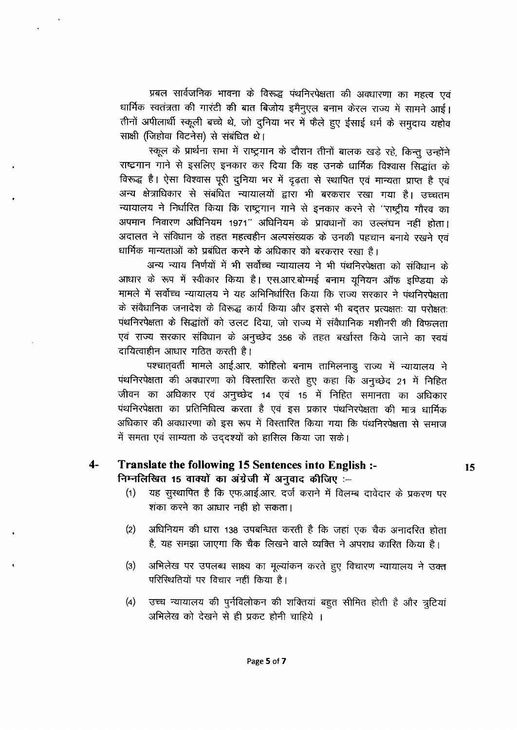प्रबल सार्वजनिक भावना के विरूद्ध पंथनिरपेक्षता की अवधारणा का महत्व एवं धार्मिक स्वतंत्रता की गारंटी की बात बिजोय इमैनुएल बनाम केरल राज्य में सामने आई। तीनों अपीलार्थी स्कूली बच्चे थे, जो दुनिया भर में फैले हुए ईसाई धर्म के समुदाय यहोव साक्षी (जिहोवा विटनेस) से संबंधित थे।

स्कूल के प्रार्थना सभा में राष्ट्रगान के दौरान तीनों बालक खड़े रहे, किन्तु उन्होंने राष्ट्रगान गाने से इसलिए इनकार कर दिया कि वह उनके धार्मिक विश्वास सिद्धांत के विरूद्ध है। ऐसा विश्वास पूरी दुनिया भर में दृढ़ता से स्थापित एवं मान्यता प्राप्त है एवं अन्य क्षेत्राधिकार से संबंधित न्यायालयों द्वारा भी बरकरार रखा गया है। उच्चतम न्यायालय ने निर्धारित किया कि राष्ट्रगान गाने से इनकार करने से 'राष्ट्रीय गौरव का अपमान निवारण अधिनियम 1971" अधिनियम के प्रावधानों का उल्लंघन नहीं होता। अदालत ने संविधान के तहत महत्वहीन अल्पसंख्यक के उनकी पहचान बनाये रखने एवं धार्मिक मान्यताओं को प्रबंधित करने के अधिकार को बरकरार रखा है।

अन्य न्याय निर्णयों में भी सर्वोच्च न्यायालय ने भी पंथनिरपेक्षता को संविधान के आधार के रूप में स्वीकार किया है। एस.आर.बोम्मई बनाम युनियन ऑफ इण्डिया के मामले में सर्वोच्च न्यायालय ने यह अभिनिर्धारित किया कि राज्य सरकार ने पंथनिरपेक्षता के संवैधानिक जनादेश के विरूद्ध कार्य किया और इससे भी बदतर प्रत्यक्षतः या परोक्षतः पथनिरपेक्षता के सिद्धांतों को उलट दिया, जो राज्य में संवैधानिक मशीनरी की विफलता एवं राज्य सरकार संविधान के अनुच्छेद 356 के तहत बर्खास्त किये जाने का स्वयं दायित्वाहीन आधार गठित करती है।

पश्चात्**वर्ती मामले आई.आर. कोहिलो बनाम तामिलनाडु** राज्य में न्यायालय ने पंथनिरपेक्षता की अवधारणा को विस्तारित करते हुए कहा कि अनुच्छेद 21 में निहित जीवन का अधिकार एवं अनुच्छेद 14 एवं 15 में निहित समानता का अधिकार पंथनिरपेक्षता का प्रतिनिधित्व करता है एवं इस प्रकार पंथनिरपेक्षता की मात्र धार्मिक अधिकार की अवधारणा को इस रूप में विस्तारित किया गया कि पंथनिरपेक्षता से समाज में समता एवं साम्यता के उददश्यों को हासिल किया जा सके।

#### $4-$ Translate the following 15 Sentences into English :-निम्नलिखित 15 वाक्यों का अंग्रेजी में अनुवाद कीजिए :--

यह सुस्थापित है कि एफ.आई.आर. दर्ज कराने में विलम्ब दावेदार के प्रकरण पर  $(1)$ शंका करने का आधार नहीं हो सकता।

15

- अधिनियम की धारा 138 उपबन्धित करती है कि जहां एक चैक अनादरित होता  $(2)$ है, यह समझा जाएगा कि चैक लिखने वाले व्यक्ति ने अपराध कारित किया है।
- अभिलेख पर उपलब्ध साक्ष्य का मूल्यांकन करते हुए विचारण न्यायालय ने उक्त  $(3)$ परिस्थितियों पर विचार नहीं किया है।
- उच्च न्यायालय की पुर्नविलोकन की शक्तियां बहुत सीमित होती है और त्रुटियां  $(4)$ अभिलेख को देखने से ही प्रकट होनी चाहिये ।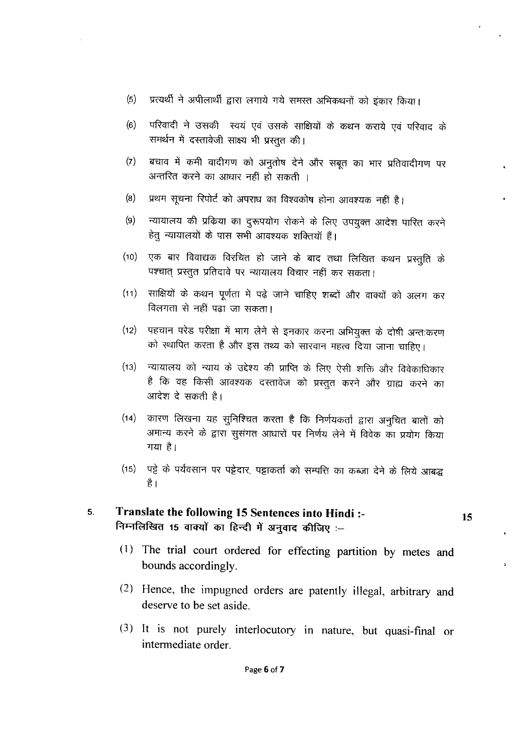- $(5)$ प्रत्यर्थी ने अपीलार्थी द्वारा लगाये गये समस्त अभिकथनों को इंकार किया।
- परिवादी ने उसकी स्वयं एवं उसके साक्षियों के कथन कराये एवं परिवाद के  $(6)$ समर्थन में दस्तावेजी साक्ष्य भी प्रस्तुत की।
- बचाव में कमी वादीगण को अनुतोष देने और सबूत का भार प्रतिवादीगण पर  $(7)$ अन्तरित करने का आधार नहीं हो सकती ।
- प्रथम सूचना रिपोर्ट को अपराध का विश्वकोष होना आवश्यक नहीं है।  $(8)$
- न्यायालय की प्रक्रिया का दुरूपयोग रोकने के लिए उपयुक्त आदेश पारित करने  $(9)$ हेतु न्यायालयों के पास सभी आवश्यक शक्तियाँ हैं।
- एक बार विवाद्यक विरचित हो जाने के बाद तथा लिखित कथन प्रस्तुति के  $(10)$ पश्चात् प्रस्तुत प्रतिदावे पर न्यायालय विचार नहीं कर सकता।
- साक्षियों के कथन पूर्णता में पढ़े जाने चाहिए शब्दों और वाक्यों को अलग कर  $(11)$ विलगता से नहीं पढ़ा जा सकता।
- पहचान परेड परीक्षा में भाग लेने से इनकार करना अभियुक्त के दोषी अन्तःकरण  $(12)$ को स्थापित करता है और इस तथ्य को सारवान महत्व दिया जाना चाहिए।
- न्यायालय को न्याय के उद्देश्य की प्राप्ति के लिए ऐसी शक्ति और विवेकाधिकार  $(13)$ है कि वह किसी आवश्यक दस्तावेज को प्रस्तुत करने और ग्राह्य करने का आदेश दे सकती है।
- (14) कारण लिखना यह सुनिश्चित करता है कि निर्णयकर्ता द्वारा अनुचित बातों को अमान्य करने के द्वारा सुसंगत आधारों पर निर्णय लेने में विवेक का प्रयोग किया गया है।
- (15) पट्टे के पर्यवसान पर पट्टेदार, पट्टाकर्ता को सम्पत्ति का कब्जा देने के लिये आबद्ध है ।

### Translate the following 15 Sentences into Hindi :- $5<sub>1</sub>$ निम्नलिखित 15 वाक्यों का हिन्दी में अनुवाद कीजिए :-

(1) The trial court ordered for effecting partition by metes and bounds accordingly.

15

- (2) Hence, the impugned orders are patently illegal, arbitrary and deserve to be set aside.
- (3) It is not purely interlocutory in nature, but quasi-final or intermediate order.